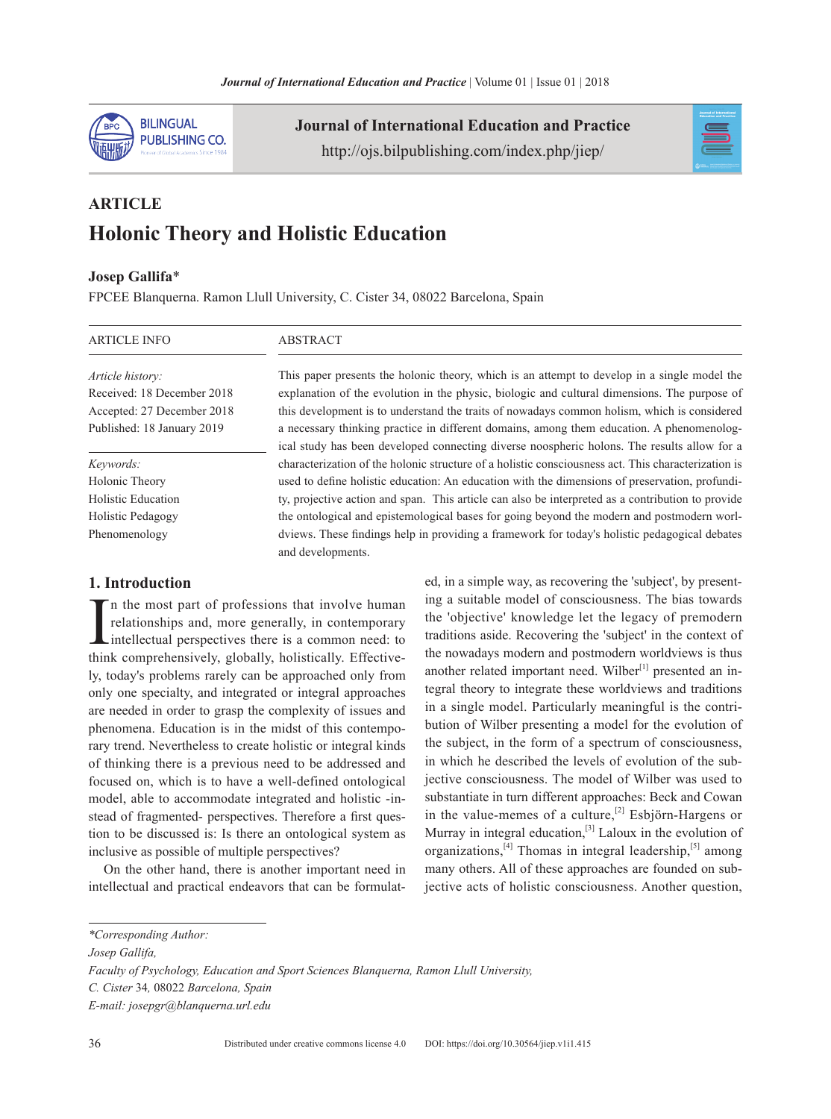

**Journal of International Education and Practice** http://ojs.bilpublishing.com/index.php/jiep/



# **Article Holonic Theory and Holistic Education**

## **Josep Gallifa**\*

FPCEE Blanquerna. Ramon Llull University, C. Cister 34, 08022 Barcelona, Spain

#### ARTICLE INFO

#### **ABSTRACT**

*Article history:* Received: 18 December 2018 Accepted: 27 December 2018 Published: 18 January 2019

*Keywords:* Holonic Theory Holistic Education Holistic Pedagogy Phenomenology

## **1. Introduction**

In the most part of professions that involve human<br>relationships and, more generally, in contemporary<br>intellectual perspectives there is a common need: to<br>think comprehensively, globally, holistically. Effectiven the most part of professions that involve human relationships and, more generally, in contemporary intellectual perspectives there is a common need: to ly, today's problems rarely can be approached only from only one specialty, and integrated or integral approaches are needed in order to grasp the complexity of issues and phenomena. Education is in the midst of this contemporary trend. Nevertheless to create holistic or integral kinds of thinking there is a previous need to be addressed and focused on, which is to have a well-defined ontological model, able to accommodate integrated and holistic -instead of fragmented- perspectives. Therefore a first question to be discussed is: Is there an ontological system as inclusive as possible of multiple perspectives?

On the other hand, there is another important need in intellectual and practical endeavors that can be formulat-

This paper presents the holonic theory, which is an attempt to develop in a single model the explanation of the evolution in the physic, biologic and cultural dimensions. The purpose of this development is to understand the traits of nowadays common holism, which is considered a necessary thinking practice in different domains, among them education. A phenomenological study has been developed connecting diverse noospheric holons. The results allow for a characterization of the holonic structure of a holistic consciousness act. This characterization is used to define holistic education: An education with the dimensions of preservation, profundity, projective action and span. This article can also be interpreted as a contribution to provide the ontological and epistemological bases for going beyond the modern and postmodern worldviews. These findings help in providing a framework for today's holistic pedagogical debates and developments.

> ed, in a simple way, as recovering the 'subject', by presenting a suitable model of consciousness. The bias towards the 'objective' knowledge let the legacy of premodern traditions aside. Recovering the 'subject' in the context of the nowadays modern and postmodern worldviews is thus another related important need. Wilber $[1]$  presented an integral theory to integrate these worldviews and traditions in a single model. Particularly meaningful is the contribution of Wilber presenting a model for the evolution of the subject, in the form of a spectrum of consciousness, in which he described the levels of evolution of the subjective consciousness. The model of Wilber was used to substantiate in turn different approaches: Beck and Cowan in the value-memes of a culture,<sup>[2]</sup> Esbjörn-Hargens or Murray in integral education,<sup>[3]</sup> Laloux in the evolution of organizations,<sup>[4]</sup> Thomas in integral leadership,<sup>[5]</sup> among many others. All of these approaches are founded on subjective acts of holistic consciousness. Another question,

*<sup>\*</sup>Corresponding Author:* 

*Josep Gallifa,* 

*Faculty of Psychology, Education and Sport Sciences Blanquerna, Ramon Llull University,* 

*C. Cister* 34*,* 08022 *Barcelona, Spain*

*E-mail: josepgr@blanquerna.url.edu*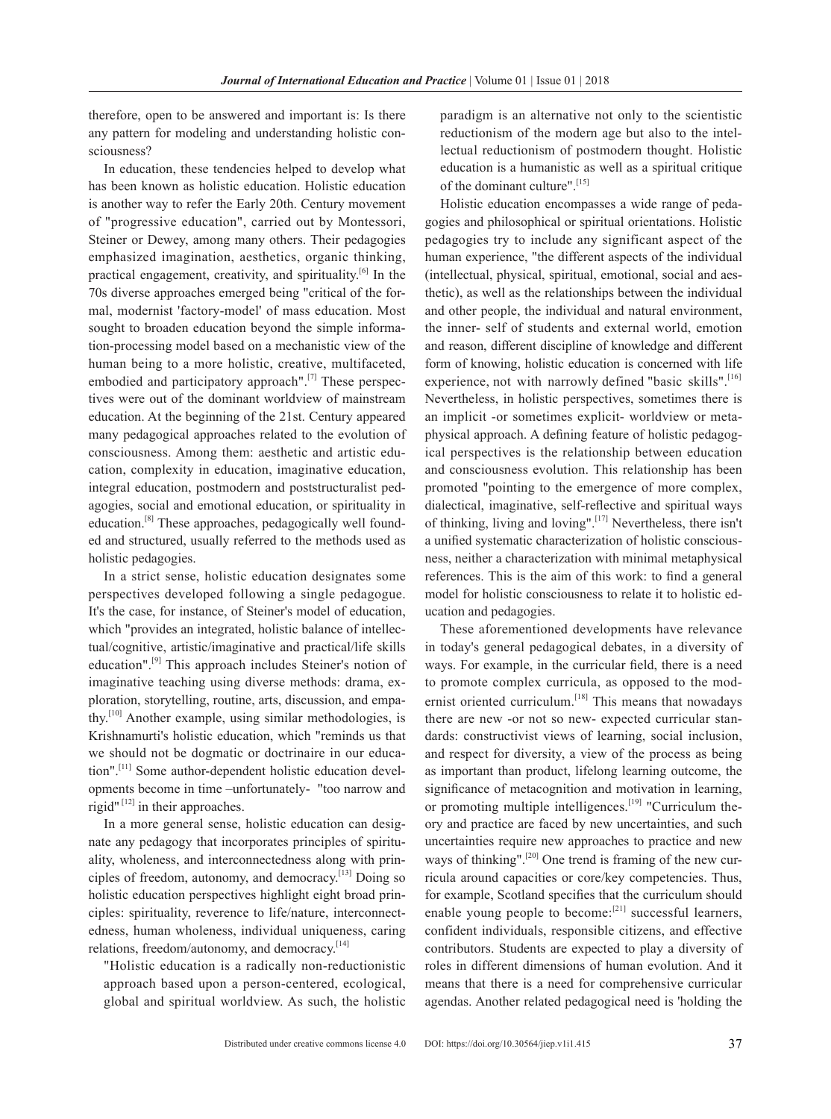therefore, open to be answered and important is: Is there any pattern for modeling and understanding holistic consciousness?

In education, these tendencies helped to develop what has been known as holistic education. Holistic education is another way to refer the Early 20th. Century movement of "progressive education", carried out by Montessori, Steiner or Dewey, among many others. Their pedagogies emphasized imagination, aesthetics, organic thinking, practical engagement, creativity, and spirituality.<sup>[6]</sup> In the 70s diverse approaches emerged being "critical of the formal, modernist 'factory-model' of mass education. Most sought to broaden education beyond the simple information-processing model based on a mechanistic view of the human being to a more holistic, creative, multifaceted, embodied and participatory approach". $^{[7]}$  These perspectives were out of the dominant worldview of mainstream education. At the beginning of the 21st. Century appeared many pedagogical approaches related to the evolution of consciousness. Among them: aesthetic and artistic education, complexity in education, imaginative education, integral education, postmodern and poststructuralist pedagogies, social and emotional education, or spirituality in education.[8] These approaches, pedagogically well founded and structured, usually referred to the methods used as holistic pedagogies.

In a strict sense, holistic education designates some perspectives developed following a single pedagogue. It's the case, for instance, of Steiner's model of education, which "provides an integrated, holistic balance of intellectual/cognitive, artistic/imaginative and practical/life skills education".<sup>[9]</sup> This approach includes Steiner's notion of imaginative teaching using diverse methods: drama, exploration, storytelling, routine, arts, discussion, and empathy.[10] Another example, using similar methodologies, is Krishnamurti's holistic education, which "reminds us that we should not be dogmatic or doctrinaire in our education".<sup>[11]</sup> Some author-dependent holistic education developments become in time –unfortunately- "too narrow and rigid"<sup>[12]</sup> in their approaches.

In a more general sense, holistic education can designate any pedagogy that incorporates principles of spirituality, wholeness, and interconnectedness along with principles of freedom, autonomy, and democracy.[13] Doing so holistic education perspectives highlight eight broad principles: spirituality, reverence to life/nature, interconnectedness, human wholeness, individual uniqueness, caring relations, freedom/autonomy, and democracy.<sup>[14]</sup>

"Holistic education is a radically non-reductionistic approach based upon a person-centered, ecological, global and spiritual worldview. As such, the holistic paradigm is an alternative not only to the scientistic reductionism of the modern age but also to the intellectual reductionism of postmodern thought. Holistic education is a humanistic as well as a spiritual critique of the dominant culture".[15]

Holistic education encompasses a wide range of pedagogies and philosophical or spiritual orientations. Holistic pedagogies try to include any significant aspect of the human experience, "the different aspects of the individual (intellectual, physical, spiritual, emotional, social and aesthetic), as well as the relationships between the individual and other people, the individual and natural environment, the inner- self of students and external world, emotion and reason, different discipline of knowledge and different form of knowing, holistic education is concerned with life experience, not with narrowly defined "basic skills".<sup>[16]</sup> Nevertheless, in holistic perspectives, sometimes there is an implicit -or sometimes explicit- worldview or metaphysical approach. A defining feature of holistic pedagogical perspectives is the relationship between education and consciousness evolution. This relationship has been promoted "pointing to the emergence of more complex, dialectical, imaginative, self-reflective and spiritual ways of thinking, living and loving".[17] Nevertheless, there isn't a unified systematic characterization of holistic consciousness, neither a characterization with minimal metaphysical references. This is the aim of this work: to find a general model for holistic consciousness to relate it to holistic education and pedagogies.

These aforementioned developments have relevance in today's general pedagogical debates, in a diversity of ways. For example, in the curricular field, there is a need to promote complex curricula, as opposed to the modernist oriented curriculum.<sup>[18]</sup> This means that nowadays there are new -or not so new- expected curricular standards: constructivist views of learning, social inclusion, and respect for diversity, a view of the process as being as important than product, lifelong learning outcome, the significance of metacognition and motivation in learning, or promoting multiple intelligences. $[19]$  "Curriculum theory and practice are faced by new uncertainties, and such uncertainties require new approaches to practice and new ways of thinking".<sup>[20]</sup> One trend is framing of the new curricula around capacities or core/key competencies. thus, for example, Scotland specifies that the curriculum should enable young people to become: $[21]$  successful learners, confident individuals, responsible citizens, and effective contributors. students are expected to play a diversity of roles in different dimensions of human evolution. And it means that there is a need for comprehensive curricular agendas. Another related pedagogical need is 'holding the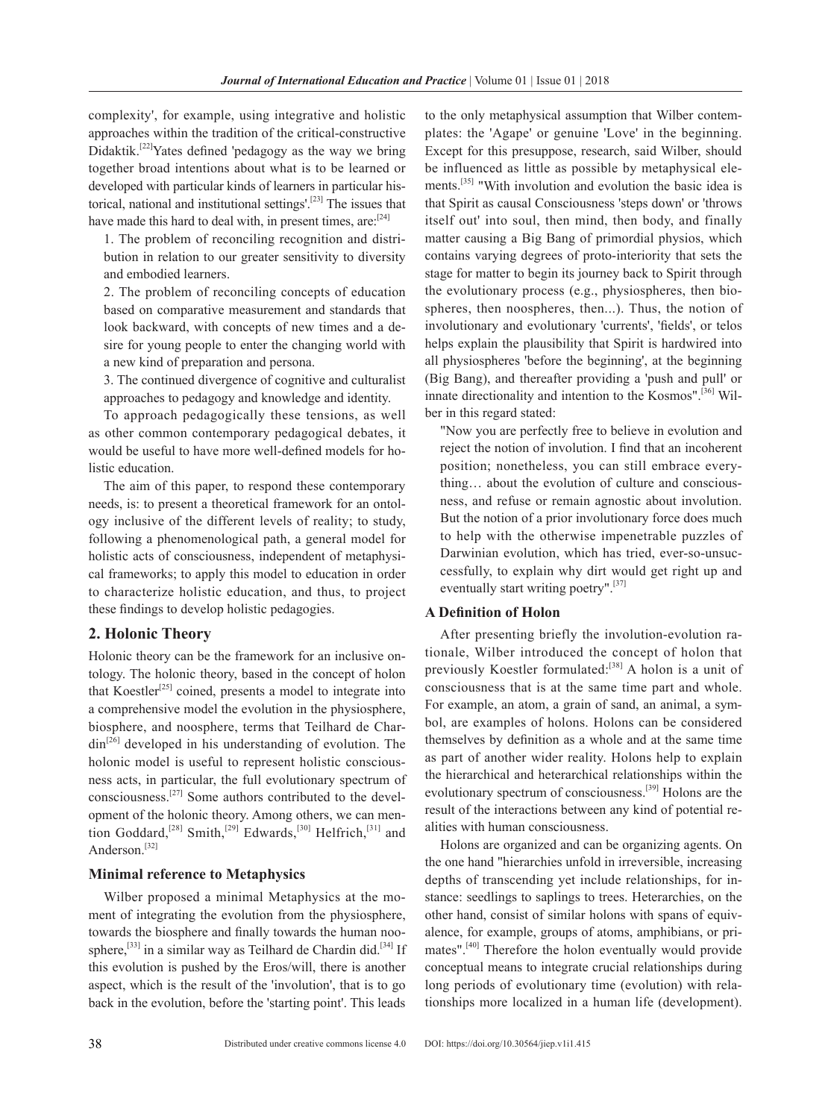complexity', for example, using integrative and holistic approaches within the tradition of the critical-constructive Didaktik.<sup>[22]</sup>Yates defined 'pedagogy as the way we bring together broad intentions about what is to be learned or developed with particular kinds of learners in particular historical, national and institutional settings'.[23] The issues that have made this hard to deal with, in present times,  $are:$ <sup>[24]</sup>

1. The problem of reconciling recognition and distribution in relation to our greater sensitivity to diversity and embodied learners.

2. The problem of reconciling concepts of education based on comparative measurement and standards that look backward, with concepts of new times and a desire for young people to enter the changing world with a new kind of preparation and persona.

3. The continued divergence of cognitive and culturalist approaches to pedagogy and knowledge and identity.

To approach pedagogically these tensions, as well as other common contemporary pedagogical debates, it would be useful to have more well-defined models for holistic education.

The aim of this paper, to respond these contemporary needs, is: to present a theoretical framework for an ontology inclusive of the different levels of reality; to study, following a phenomenological path, a general model for holistic acts of consciousness, independent of metaphysical frameworks; to apply this model to education in order to characterize holistic education, and thus, to project these findings to develop holistic pedagogies.

## **2. Holonic Theory**

Holonic theory can be the framework for an inclusive ontology. The holonic theory, based in the concept of holon that Koestler<sup>[25]</sup> coined, presents a model to integrate into a comprehensive model the evolution in the physiosphere, biosphere, and noosphere, terms that Teilhard de Char- $\dim^{[26]}$  developed in his understanding of evolution. The holonic model is useful to represent holistic consciousness acts, in particular, the full evolutionary spectrum of consciousness.[27] Some authors contributed to the development of the holonic theory. Among others, we can mention Goddard,<sup>[28]</sup> Smith,<sup>[29]</sup> Edwards,<sup>[30]</sup> Helfrich,<sup>[31]</sup> and Anderson.<sup>[32]</sup>

## **Minimal reference to Metaphysics**

Wilber proposed a minimal Metaphysics at the moment of integrating the evolution from the physiosphere, towards the biosphere and finally towards the human noosphere,<sup>[33]</sup> in a similar way as Teilhard de Chardin did.<sup>[34]</sup> If this evolution is pushed by the Eros/will, there is another aspect, which is the result of the 'involution', that is to go back in the evolution, before the 'starting point'. This leads

to the only metaphysical assumption that Wilber contemplates: the 'Agape' or genuine 'Love' in the beginning. Except for this presuppose, research, said Wilber, should be influenced as little as possible by metaphysical elements.<sup>[35]</sup> "With involution and evolution the basic idea is that Spirit as causal Consciousness 'steps down' or 'throws itself out' into soul, then mind, then body, and finally matter causing a Big Bang of primordial physios, which contains varying degrees of proto-interiority that sets the stage for matter to begin its journey back to Spirit through the evolutionary process (e.g., physiospheres, then biospheres, then noospheres, then...). Thus, the notion of involutionary and evolutionary 'currents', 'fields', or telos helps explain the plausibility that Spirit is hardwired into all physiospheres 'before the beginning', at the beginning (Big Bang), and thereafter providing a 'push and pull' or innate directionality and intention to the Kosmos".<sup>[36]</sup> Wilber in this regard stated:

"Now you are perfectly free to believe in evolution and reject the notion of involution. I find that an incoherent position; nonetheless, you can still embrace everything… about the evolution of culture and consciousness, and refuse or remain agnostic about involution. But the notion of a prior involutionary force does much to help with the otherwise impenetrable puzzles of Darwinian evolution, which has tried, ever-so-unsuccessfully, to explain why dirt would get right up and eventually start writing poetry".<sup>[37]</sup>

## **A Definition of Holon**

After presenting briefly the involution-evolution rationale, Wilber introduced the concept of holon that previously Koestler formulated:[38] A holon is a unit of consciousness that is at the same time part and whole. For example, an atom, a grain of sand, an animal, a symbol, are examples of holons. Holons can be considered themselves by definition as a whole and at the same time as part of another wider reality. Holons help to explain the hierarchical and heterarchical relationships within the evolutionary spectrum of consciousness.[39] Holons are the result of the interactions between any kind of potential realities with human consciousness.

Holons are organized and can be organizing agents. On the one hand "hierarchies unfold in irreversible, increasing depths of transcending yet include relationships, for instance: seedlings to saplings to trees. Heterarchies, on the other hand, consist of similar holons with spans of equivalence, for example, groups of atoms, amphibians, or primates".[40] Therefore the holon eventually would provide conceptual means to integrate crucial relationships during long periods of evolutionary time (evolution) with relationships more localized in a human life (development).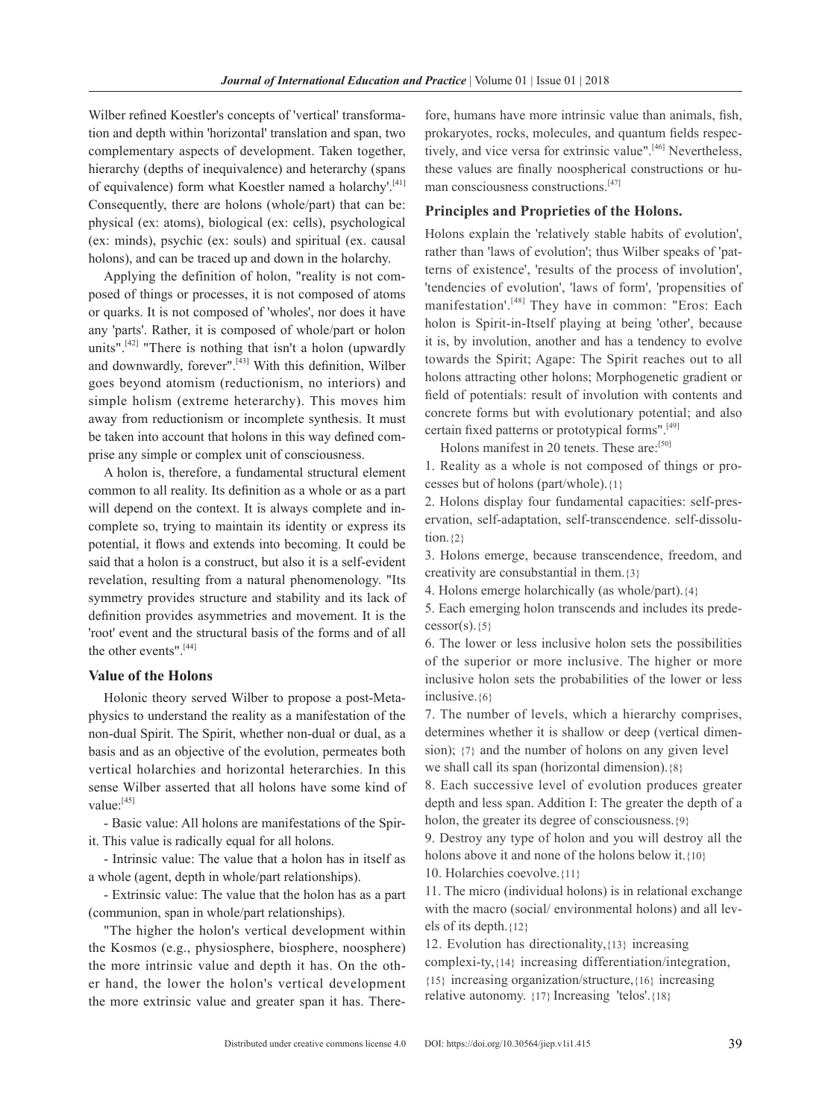Wilber refined Koestler's concepts of 'vertical' transformation and depth within 'horizontal' translation and span, two complementary aspects of development. Taken together, hierarchy (depths of inequivalence) and heterarchy (spans of equivalence) form what Koestler named a holarchy'.[41] Consequently, there are holons (whole/part) that can be: physical (ex: atoms), biological (ex: cells), psychological (ex: minds), psychic (ex: souls) and spiritual (ex. causal holons), and can be traced up and down in the holarchy.

Applying the definition of holon, "reality is not composed of things or processes, it is not composed of atoms or quarks. It is not composed of 'wholes', nor does it have any 'parts'. Rather, it is composed of whole/part or holon units".<sup>[42]</sup> "There is nothing that isn't a holon (upwardly and downwardly, forever".<sup>[43]</sup> With this definition, Wilber goes beyond atomism (reductionism, no interiors) and simple holism (extreme heterarchy). This moves him away from reductionism or incomplete synthesis. It must be taken into account that holons in this way defined comprise any simple or complex unit of consciousness.

A holon is, therefore, a fundamental structural element common to all reality. Its definition as a whole or as a part will depend on the context. It is always complete and incomplete so, trying to maintain its identity or express its potential, it flows and extends into becoming. It could be said that a holon is a construct, but also it is a self-evident revelation, resulting from a natural phenomenology. "Its symmetry provides structure and stability and its lack of definition provides asymmetries and movement. It is the 'root' event and the structural basis of the forms and of all the other events".<sup>[44]</sup>

## **Value of the Holons**

Holonic theory served Wilber to propose a post-Metaphysics to understand the reality as a manifestation of the non-dual Spirit. The Spirit, whether non-dual or dual, as a basis and as an objective of the evolution, permeates both vertical holarchies and horizontal heterarchies. In this sense Wilber asserted that all holons have some kind of value:[45]

- Basic value: All holons are manifestations of the Spirit. This value is radically equal for all holons.

- Intrinsic value: The value that a holon has in itself as a whole (agent, depth in whole/part relationships).

- Extrinsic value: The value that the holon has as a part (communion, span in whole/part relationships).

"The higher the holon's vertical development within the Kosmos (e.g., physiosphere, biosphere, noosphere) the more intrinsic value and depth it has. On the other hand, the lower the holon's vertical development the more extrinsic value and greater span it has. There-

fore, humans have more intrinsic value than animals, fish, prokaryotes, rocks, molecules, and quantum fields respectively, and vice versa for extrinsic value".<sup>[46]</sup> Nevertheless, these values are finally noospherical constructions or human consciousness constructions.<sup>[47]</sup>

## **Principles and Proprieties of the Holons.**

Holons explain the 'relatively stable habits of evolution', rather than 'laws of evolution'; thus Wilber speaks of 'patterns of existence', 'results of the process of involution', 'tendencies of evolution', 'laws of form', 'propensities of manifestation'.<sup>[48]</sup> They have in common: "Eros: Each holon is Spirit-in-Itself playing at being 'other', because it is, by involution, another and has a tendency to evolve towards the Spirit; Agape: The Spirit reaches out to all holons attracting other holons; Morphogenetic gradient or field of potentials: result of involution with contents and concrete forms but with evolutionary potential; and also certain fixed patterns or prototypical forms".[49]

Holons manifest in 20 tenets. These are:<sup>[50]</sup>

1. Reality as a whole is not composed of things or processes but of holons (part/whole).{1}

2. Holons display four fundamental capacities: self-preservation, self-adaptation, self-transcendence. self-dissolution. $\{2\}$ 

3. Holons emerge, because transcendence, freedom, and creativity are consubstantial in them.{3}

4. Holons emerge holarchically (as whole/part).{4}

5. Each emerging holon transcends and includes its prede $cessor(s)$ . {5}

6. the lower or less inclusive holon sets the possibilities of the superior or more inclusive. The higher or more inclusive holon sets the probabilities of the lower or less inclusive.{6}

7. the number of levels, which a hierarchy comprises, determines whether it is shallow or deep (vertical dimension); {7} and the number of holons on any given level we shall call its span (horizontal dimension).{8}

8. Each successive level of evolution produces greater depth and less span. Addition I: The greater the depth of a holon, the greater its degree of consciousness.{9}

9. Destroy any type of holon and you will destroy all the holons above it and none of the holons below it.{10}

10. Holarchies coevolve.{11}

11. the micro (individual holons) is in relational exchange with the macro (social/ environmental holons) and all levels of its depth.{12}

12. Evolution has directionality,{13} increasing complexi-ty,{14} increasing differentiation/integration, {15} increasing organization/structure,{16} increasing relative autonomy. {17} Increasing 'telos'.{18}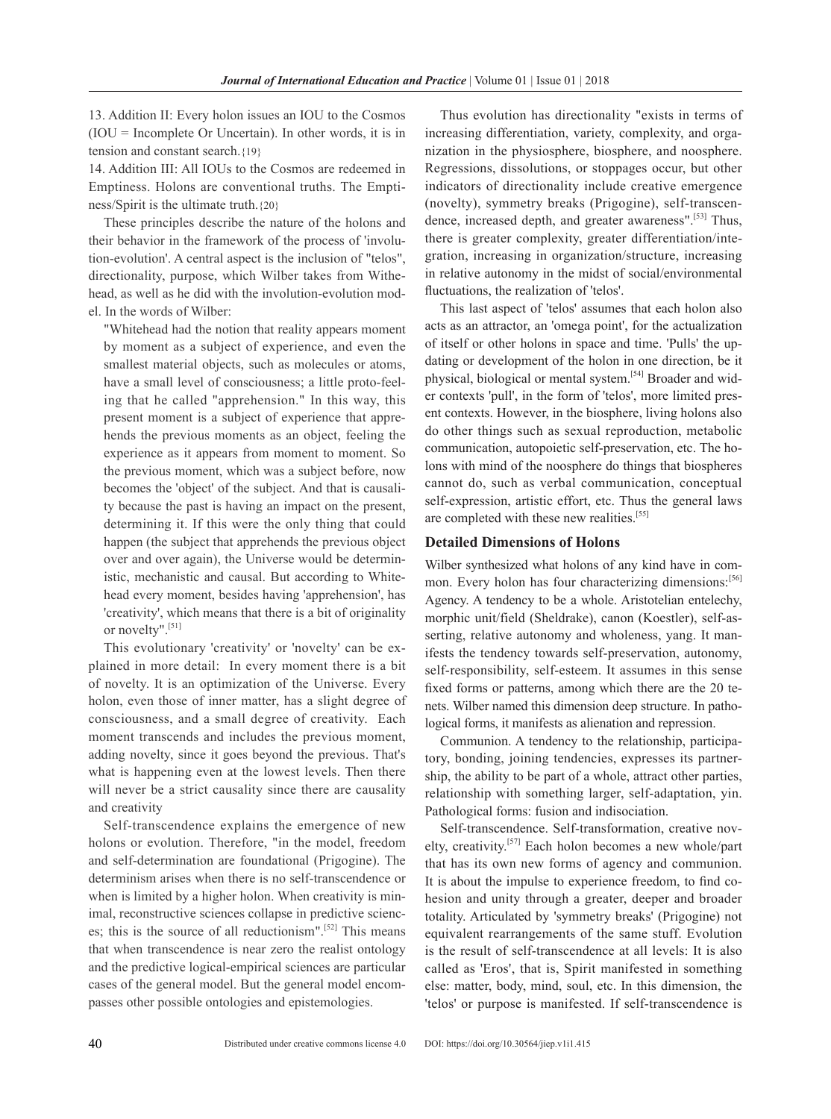13. Addition II: Every holon issues an IOU to the cosmos (IOU = Incomplete Or Uncertain). In other words, it is in tension and constant search.{19}

14. Addition III: All IOUs to the cosmos are redeemed in Emptiness. Holons are conventional truths. The Emptiness/Spirit is the ultimate truth.  ${20}$ 

These principles describe the nature of the holons and their behavior in the framework of the process of 'involution-evolution'. A central aspect is the inclusion of "telos", directionality, purpose, which Wilber takes from Withehead, as well as he did with the involution-evolution model. In the words of Wilber:

"Whitehead had the notion that reality appears moment by moment as a subject of experience, and even the smallest material objects, such as molecules or atoms, have a small level of consciousness; a little proto-feeling that he called "apprehension." In this way, this present moment is a subject of experience that apprehends the previous moments as an object, feeling the experience as it appears from moment to moment. So the previous moment, which was a subject before, now becomes the 'object' of the subject. And that is causality because the past is having an impact on the present, determining it. If this were the only thing that could happen (the subject that apprehends the previous object over and over again), the Universe would be deterministic, mechanistic and causal. but according to Whitehead every moment, besides having 'apprehension', has 'creativity', which means that there is a bit of originality or novelty".[51]

This evolutionary 'creativity' or 'novelty' can be explained in more detail: In every moment there is a bit of novelty. It is an optimization of the Universe. Every holon, even those of inner matter, has a slight degree of consciousness, and a small degree of creativity. Each moment transcends and includes the previous moment, adding novelty, since it goes beyond the previous. That's what is happening even at the lowest levels. Then there will never be a strict causality since there are causality and creativity

self-transcendence explains the emergence of new holons or evolution. Therefore, "in the model, freedom and self-determination are foundational (Prigogine). The determinism arises when there is no self-transcendence or when is limited by a higher holon. When creativity is minimal, reconstructive sciences collapse in predictive sciences; this is the source of all reductionism".<sup>[52]</sup> This means that when transcendence is near zero the realist ontology and the predictive logical-empirical sciences are particular cases of the general model. but the general model encompasses other possible ontologies and epistemologies.

Thus evolution has directionality "exists in terms of increasing differentiation, variety, complexity, and organization in the physiosphere, biosphere, and noosphere. Regressions, dissolutions, or stoppages occur, but other indicators of directionality include creative emergence (novelty), symmetry breaks (Prigogine), self-transcendence, increased depth, and greater awareness".<sup>[53]</sup> Thus, there is greater complexity, greater differentiation/integration, increasing in organization/structure, increasing in relative autonomy in the midst of social/environmental fluctuations, the realization of 'telos'.

This last aspect of 'telos' assumes that each holon also acts as an attractor, an 'omega point', for the actualization of itself or other holons in space and time. 'Pulls' the updating or development of the holon in one direction, be it physical, biological or mental system.[54] Broader and wider contexts 'pull', in the form of 'telos', more limited present contexts. However, in the biosphere, living holons also do other things such as sexual reproduction, metabolic communication, autopoietic self-preservation, etc. The holons with mind of the noosphere do things that biospheres cannot do, such as verbal communication, conceptual self-expression, artistic effort, etc. Thus the general laws are completed with these new realities.<sup>[55]</sup>

#### **Detailed Dimensions of Holons**

Wilber synthesized what holons of any kind have in common. Every holon has four characterizing dimensions:<sup>[56]</sup> Agency. A tendency to be a whole. Aristotelian entelechy, morphic unit/field (Sheldrake), canon (Koestler), self-asserting, relative autonomy and wholeness, yang. It manifests the tendency towards self-preservation, autonomy, self-responsibility, self-esteem. It assumes in this sense fixed forms or patterns, among which there are the 20 tenets. Wilber named this dimension deep structure. In pathological forms, it manifests as alienation and repression.

Communion. A tendency to the relationship, participatory, bonding, joining tendencies, expresses its partnership, the ability to be part of a whole, attract other parties, relationship with something larger, self-adaptation, yin. Pathological forms: fusion and indisociation.

Self-transcendence. Self-transformation, creative novelty, creativity.[57] Each holon becomes a new whole/part that has its own new forms of agency and communion. It is about the impulse to experience freedom, to find cohesion and unity through a greater, deeper and broader totality. Articulated by 'symmetry breaks' (Prigogine) not equivalent rearrangements of the same stuff. Evolution is the result of self-transcendence at all levels: It is also called as 'Eros', that is, Spirit manifested in something else: matter, body, mind, soul, etc. In this dimension, the 'telos' or purpose is manifested. If self-transcendence is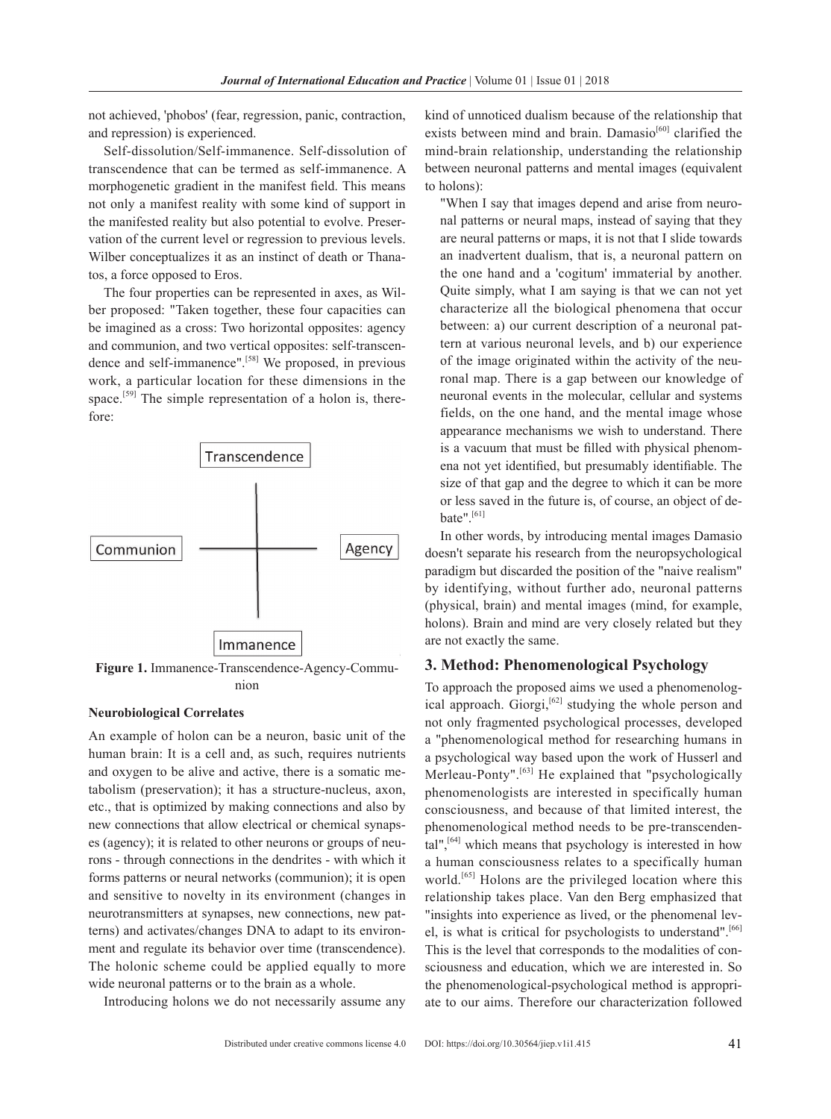not achieved, 'phobos' (fear, regression, panic, contraction, and repression) is experienced.

Self-dissolution/Self-immanence. Self-dissolution of transcendence that can be termed as self-immanence. A morphogenetic gradient in the manifest field. This means not only a manifest reality with some kind of support in the manifested reality but also potential to evolve. Preservation of the current level or regression to previous levels. Wilber conceptualizes it as an instinct of death or Thanatos, a force opposed to Eros.

The four properties can be represented in axes, as Wilber proposed: "Taken together, these four capacities can be imagined as a cross: Two horizontal opposites: agency and communion, and two vertical opposites: self-transcendence and self-immanence".<sup>[58]</sup> We proposed, in previous work, a particular location for these dimensions in the space.<sup>[59]</sup> The simple representation of a holon is, therefore:



nion

#### **Neurobiological Correlates**

An example of holon can be a neuron, basic unit of the human brain: It is a cell and, as such, requires nutrients and oxygen to be alive and active, there is a somatic metabolism (preservation); it has a structure-nucleus, axon, etc., that is optimized by making connections and also by new connections that allow electrical or chemical synapses (agency); it is related to other neurons or groups of neurons - through connections in the dendrites - with which it forms patterns or neural networks (communion); it is open and sensitive to novelty in its environment (changes in neurotransmitters at synapses, new connections, new patterns) and activates/changes DNA to adapt to its environment and regulate its behavior over time (transcendence). The holonic scheme could be applied equally to more wide neuronal patterns or to the brain as a whole.

Introducing holons we do not necessarily assume any

kind of unnoticed dualism because of the relationship that exists between mind and brain. Damasio<sup>[60]</sup> clarified the mind-brain relationship, understanding the relationship between neuronal patterns and mental images (equivalent to holons):

"When I say that images depend and arise from neuronal patterns or neural maps, instead of saying that they are neural patterns or maps, it is not that I slide towards an inadvertent dualism, that is, a neuronal pattern on the one hand and a 'cogitum' immaterial by another. Quite simply, what I am saying is that we can not yet characterize all the biological phenomena that occur between: a) our current description of a neuronal pattern at various neuronal levels, and b) our experience of the image originated within the activity of the neuronal map. There is a gap between our knowledge of neuronal events in the molecular, cellular and systems fields, on the one hand, and the mental image whose appearance mechanisms we wish to understand. There is a vacuum that must be filled with physical phenomena not yet identified, but presumably identifiable. The size of that gap and the degree to which it can be more or less saved in the future is, of course, an object of debate".<sup>[61]</sup>

In other words, by introducing mental images Damasio doesn't separate his research from the neuropsychological paradigm but discarded the position of the "naive realism" by identifying, without further ado, neuronal patterns (physical, brain) and mental images (mind, for example, holons). Brain and mind are very closely related but they are not exactly the same.

#### **3. Method: Phenomenological Psychology**

To approach the proposed aims we used a phenomenological approach. Giorgi,<sup>[62]</sup> studying the whole person and not only fragmented psychological processes, developed a "phenomenological method for researching humans in a psychological way based upon the work of Husserl and Merleau-Ponty".<sup>[63]</sup> He explained that "psychologically phenomenologists are interested in specifically human consciousness, and because of that limited interest, the phenomenological method needs to be pre-transcendental",  $[64]$  which means that psychology is interested in how a human consciousness relates to a specifically human world.<sup>[65]</sup> Holons are the privileged location where this relationship takes place. Van den Berg emphasized that "insights into experience as lived, or the phenomenal level, is what is critical for psychologists to understand".<sup>[66]</sup> This is the level that corresponds to the modalities of consciousness and education, which we are interested in. So the phenomenological-psychological method is appropriate to our aims. Therefore our characterization followed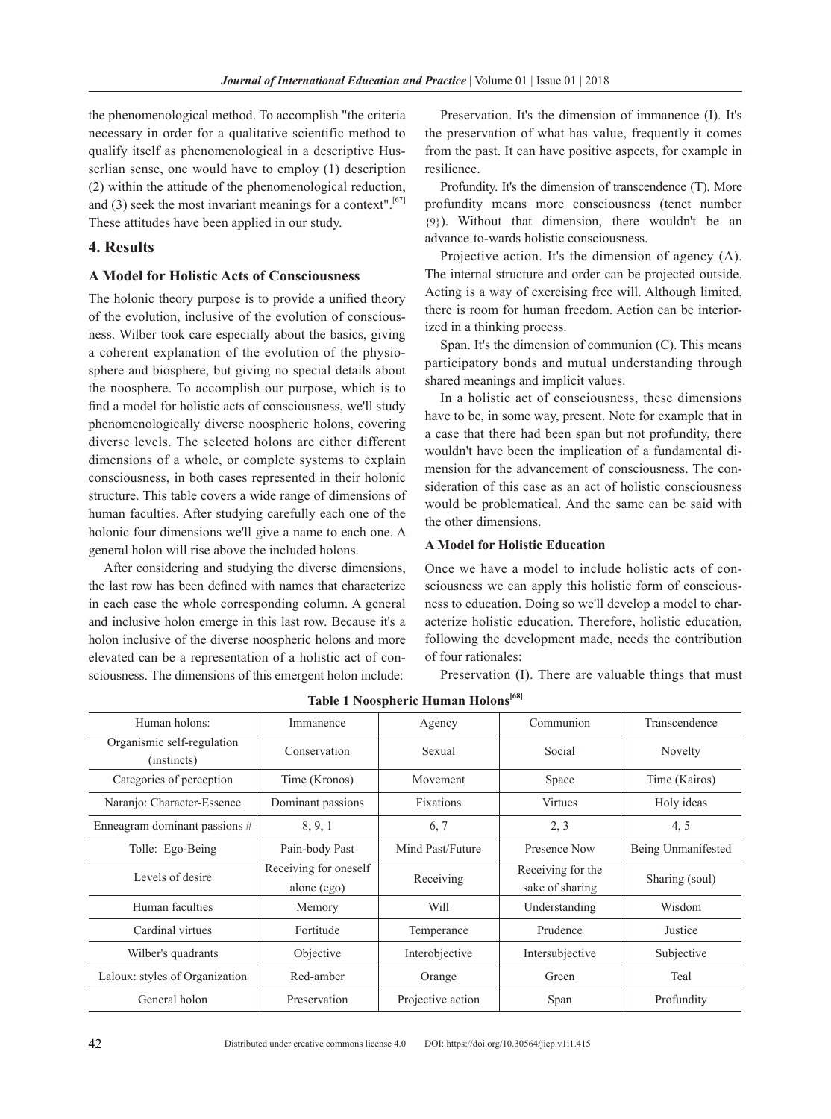the phenomenological method. To accomplish "the criteria necessary in order for a qualitative scientific method to qualify itself as phenomenological in a descriptive Husserlian sense, one would have to employ (1) description (2) within the attitude of the phenomenological reduction, and  $(3)$  seek the most invariant meanings for a context".<sup>[67]</sup> These attitudes have been applied in our study.

## **4. Results**

## **A Model for Holistic Acts of Consciousness**

The holonic theory purpose is to provide a unified theory of the evolution, inclusive of the evolution of consciousness. Wilber took care especially about the basics, giving a coherent explanation of the evolution of the physiosphere and biosphere, but giving no special details about the noosphere. To accomplish our purpose, which is to find a model for holistic acts of consciousness, we'll study phenomenologically diverse noospheric holons, covering diverse levels. The selected holons are either different dimensions of a whole, or complete systems to explain consciousness, in both cases represented in their holonic structure. This table covers a wide range of dimensions of human faculties. After studying carefully each one of the holonic four dimensions we'll give a name to each one. A general holon will rise above the included holons.

After considering and studying the diverse dimensions, the last row has been defined with names that characterize in each case the whole corresponding column. A general and inclusive holon emerge in this last row. Because it's a holon inclusive of the diverse noospheric holons and more elevated can be a representation of a holistic act of consciousness. The dimensions of this emergent holon include:

Preservation. It's the dimension of immanence (I). It's the preservation of what has value, frequently it comes from the past. It can have positive aspects, for example in resilience.

Profundity. It's the dimension of transcendence (T). More profundity means more consciousness (tenet number {9}). Without that dimension, there wouldn't be an advance to-wards holistic consciousness.

Projective action. It's the dimension of agency (A). The internal structure and order can be projected outside. Acting is a way of exercising free will. Although limited, there is room for human freedom. Action can be interiorized in a thinking process.

Span. It's the dimension of communion  $(C)$ . This means participatory bonds and mutual understanding through shared meanings and implicit values.

In a holistic act of consciousness, these dimensions have to be, in some way, present. Note for example that in a case that there had been span but not profundity, there wouldn't have been the implication of a fundamental dimension for the advancement of consciousness. The consideration of this case as an act of holistic consciousness would be problematical. And the same can be said with the other dimensions.

## **A Model for Holistic Education**

Once we have a model to include holistic acts of consciousness we can apply this holistic form of consciousness to education. Doing so we'll develop a model to characterize holistic education. Therefore, holistic education, following the development made, needs the contribution of four rationales:

Preservation (I). There are valuable things that must

| Human holons:                             | Immanence                            | Agency            | Communion                            | Transcendence      |
|-------------------------------------------|--------------------------------------|-------------------|--------------------------------------|--------------------|
| Organismic self-regulation<br>(instincts) | Conservation                         | Sexual            | Social                               | Novelty            |
| Categories of perception                  | Time (Kronos)                        | Movement          | Space                                | Time (Kairos)      |
| Naranjo: Character-Essence                | Dominant passions                    | <b>Fixations</b>  | <b>Virtues</b>                       | Holy ideas         |
| Enneagram dominant passions #             | 8, 9, 1                              | 6, 7              | 2, 3                                 | 4, 5               |
| Tolle: Ego-Being                          | Pain-body Past                       | Mind Past/Future  | Presence Now                         | Being Unmanifested |
| Levels of desire                          | Receiving for oneself<br>alone (ego) | Receiving         | Receiving for the<br>sake of sharing | Sharing (soul)     |
| Human faculties                           | Memory                               | Will              | Understanding                        | Wisdom             |
| Cardinal virtues                          | Fortitude                            | Temperance        | Prudence                             | Justice            |
| Wilber's quadrants                        | Objective                            | Interobjective    | Intersubjective                      | Subjective         |
| Laloux: styles of Organization            | Red-amber                            | Orange            | Green                                | Teal               |
| General holon                             | Preservation                         | Projective action | Span                                 | Profundity         |

**table 1 Noospheric Human Holons[68]**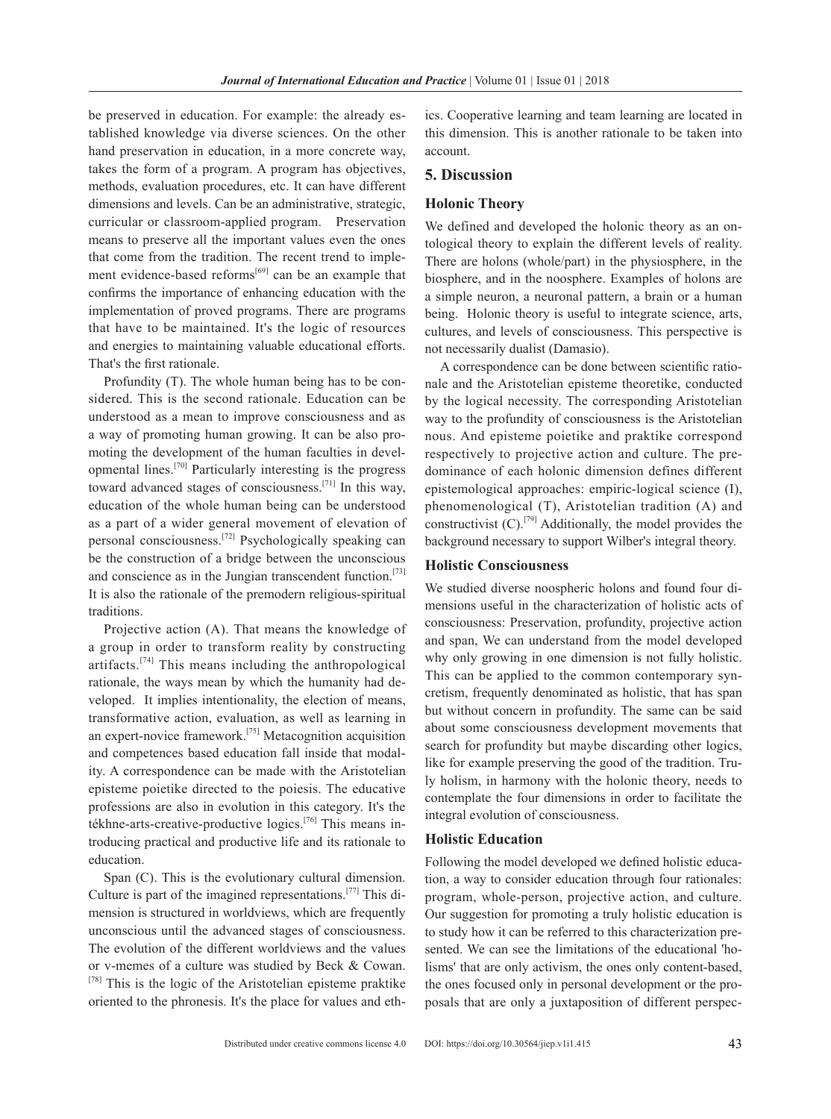be preserved in education. For example: the already established knowledge via diverse sciences. On the other hand preservation in education, in a more concrete way, takes the form of a program. A program has objectives, methods, evaluation procedures, etc. It can have different dimensions and levels. Can be an administrative, strategic, curricular or classroom-applied program. Preservation means to preserve all the important values even the ones that come from the tradition. The recent trend to implement evidence-based reforms<sup>[69]</sup> can be an example that confirms the importance of enhancing education with the implementation of proved programs. There are programs that have to be maintained. It's the logic of resources and energies to maintaining valuable educational efforts. That's the first rationale.

Profundity (T). The whole human being has to be considered. This is the second rationale. Education can be understood as a mean to improve consciousness and as a way of promoting human growing. It can be also promoting the development of the human faculties in developmental lines.[70] Particularly interesting is the progress toward advanced stages of consciousness.<sup>[71]</sup> In this way, education of the whole human being can be understood as a part of a wider general movement of elevation of personal consciousness.[72] Psychologically speaking can be the construction of a bridge between the unconscious and conscience as in the Jungian transcendent function.<sup>[73]</sup> It is also the rationale of the premodern religious-spiritual traditions.

Projective action (A). That means the knowledge of a group in order to transform reality by constructing  $artifacts.$ <sup>[74]</sup> This means including the anthropological rationale, the ways mean by which the humanity had developed. It implies intentionality, the election of means, transformative action, evaluation, as well as learning in an expert-novice framework.[75] Metacognition acquisition and competences based education fall inside that modality. A correspondence can be made with the Aristotelian episteme poietike directed to the poiesis. The educative professions are also in evolution in this category. It's the tékhne-arts-creative-productive logics.[76] This means introducing practical and productive life and its rationale to education.

Span (C). This is the evolutionary cultural dimension. Culture is part of the imagined representations.<sup>[77]</sup> This dimension is structured in worldviews, which are frequently unconscious until the advanced stages of consciousness. The evolution of the different worldviews and the values or v-memes of a culture was studied by Beck & Cowan.  $^{[78]}$  This is the logic of the Aristotelian episteme praktike oriented to the phronesis. It's the place for values and eth-

ics. Cooperative learning and team learning are located in this dimension. This is another rationale to be taken into account.

#### **5. Discussion**

#### **Holonic Theory**

We defined and developed the holonic theory as an ontological theory to explain the different levels of reality. There are holons (whole/part) in the physiosphere, in the biosphere, and in the noosphere. Examples of holons are a simple neuron, a neuronal pattern, a brain or a human being. Holonic theory is useful to integrate science, arts, cultures, and levels of consciousness. This perspective is not necessarily dualist (Damasio).

A correspondence can be done between scientific rationale and the Aristotelian episteme theoretike, conducted by the logical necessity. The corresponding Aristotelian way to the profundity of consciousness is the Aristotelian nous. And episteme poietike and praktike correspond respectively to projective action and culture. The predominance of each holonic dimension defines different epistemological approaches: empiric-logical science (I), phenomenological (T), Aristotelian tradition (A) and constructivist  $(C)$ .<sup>[79]</sup> Additionally, the model provides the background necessary to support Wilber's integral theory.

#### **Holistic Consciousness**

We studied diverse noospheric holons and found four dimensions useful in the characterization of holistic acts of consciousness: Preservation, profundity, projective action and span, We can understand from the model developed why only growing in one dimension is not fully holistic. This can be applied to the common contemporary syncretism, frequently denominated as holistic, that has span but without concern in profundity. The same can be said about some consciousness development movements that search for profundity but maybe discarding other logics, like for example preserving the good of the tradition. Truly holism, in harmony with the holonic theory, needs to contemplate the four dimensions in order to facilitate the integral evolution of consciousness.

## **Holistic Education**

Following the model developed we defined holistic education, a way to consider education through four rationales: program, whole-person, projective action, and culture. Our suggestion for promoting a truly holistic education is to study how it can be referred to this characterization presented. We can see the limitations of the educational 'holisms' that are only activism, the ones only content-based, the ones focused only in personal development or the proposals that are only a juxtaposition of different perspec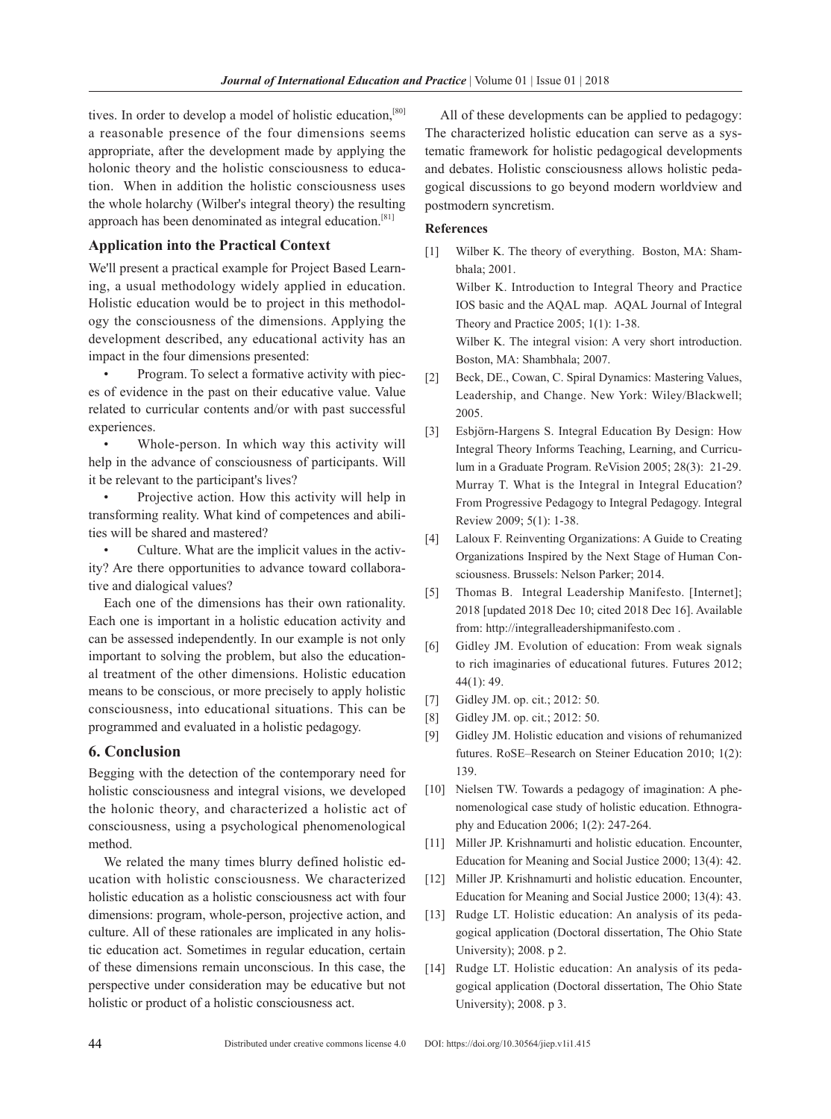tives. In order to develop a model of holistic education,<sup>[80]</sup> a reasonable presence of the four dimensions seems appropriate, after the development made by applying the holonic theory and the holistic consciousness to education. When in addition the holistic consciousness uses the whole holarchy (Wilber's integral theory) the resulting approach has been denominated as integral education.[81]

#### **Application into the Practical Context**

We'll present a practical example for Project Based Learning, a usual methodology widely applied in education. Holistic education would be to project in this methodology the consciousness of the dimensions. Applying the development described, any educational activity has an impact in the four dimensions presented:

• Program. To select a formative activity with pieces of evidence in the past on their educative value. Value related to curricular contents and/or with past successful experiences.

Whole-person. In which way this activity will help in the advance of consciousness of participants. Will it be relevant to the participant's lives?

• Projective action. How this activity will help in transforming reality. What kind of competences and abilities will be shared and mastered?

• Culture. What are the implicit values in the activity? Are there opportunities to advance toward collaborative and dialogical values?

Each one of the dimensions has their own rationality. Each one is important in a holistic education activity and can be assessed independently. In our example is not only important to solving the problem, but also the educational treatment of the other dimensions. Holistic education means to be conscious, or more precisely to apply holistic consciousness, into educational situations. This can be programmed and evaluated in a holistic pedagogy.

## **6. Conclusion**

Begging with the detection of the contemporary need for holistic consciousness and integral visions, we developed the holonic theory, and characterized a holistic act of consciousness, using a psychological phenomenological method.

We related the many times blurry defined holistic education with holistic consciousness. We characterized holistic education as a holistic consciousness act with four dimensions: program, whole-person, projective action, and culture. All of these rationales are implicated in any holistic education act. Sometimes in regular education, certain of these dimensions remain unconscious. In this case, the perspective under consideration may be educative but not holistic or product of a holistic consciousness act.

All of these developments can be applied to pedagogy: The characterized holistic education can serve as a systematic framework for holistic pedagogical developments and debates. Holistic consciousness allows holistic pedagogical discussions to go beyond modern worldview and postmodern syncretism.

## **References**

- [1] Wilber K. The theory of everything. Boston, MA: Shambhala; 2001. Wilber K. Introduction to Integral Theory and Practice IOS basic and the AQAL map. AQAL Journal of Integral Theory and Practice 2005; 1(1): 1-38. Wilber K. The integral vision: A very short introduction. Boston, MA: Shambhala; 2007.
- [2] Beck, DE., Cowan, C. Spiral Dynamics: Mastering Values, Leadership, and Change. New York: Wiley/Blackwell; 2005.
- [3] Esbjörn-Hargens S. Integral Education By Design: How Integral Theory Informs Teaching, Learning, and Curriculum in a Graduate Program. ReVision 2005; 28(3): 21-29. Murray T. What is the Integral in Integral Education? From Progressive Pedagogy to Integral Pedagogy. Integral Review 2009; 5(1): 1-38.
- [4] Laloux F. Reinventing Organizations: A Guide to Creating Organizations Inspired by the Next Stage of Human Consciousness. Brussels: Nelson Parker; 2014.
- [5] Thomas B. Integral Leadership Manifesto. [Internet]; 2018 [updated 2018 Dec 10; cited 2018 Dec 16]. Available from: http://integralleadershipmanifesto.com .
- [6] Gidley JM. Evolution of education: From weak signals to rich imaginaries of educational futures. Futures 2012; 44(1): 49.
- [7] Gidley JM. op. cit.; 2012: 50.
- [8] Gidley JM. op. cit.; 2012: 50.
- [9] Gidley JM. Holistic education and visions of rehumanized futures. RoSE–Research on Steiner Education 2010; 1(2): 139.
- [10] Nielsen TW. Towards a pedagogy of imagination: A phenomenological case study of holistic education. Ethnography and Education 2006; 1(2): 247-264.
- [11] Miller JP. Krishnamurti and holistic education. Encounter, Education for Meaning and Social Justice 2000; 13(4): 42.
- [12] Miller JP. Krishnamurti and holistic education. Encounter, Education for Meaning and Social Justice 2000; 13(4): 43.
- [13] Rudge LT. Holistic education: An analysis of its pedagogical application (Doctoral dissertation, The Ohio State University); 2008. p 2.
- [14] Rudge LT. Holistic education: An analysis of its pedagogical application (Doctoral dissertation, The Ohio State University); 2008. p 3.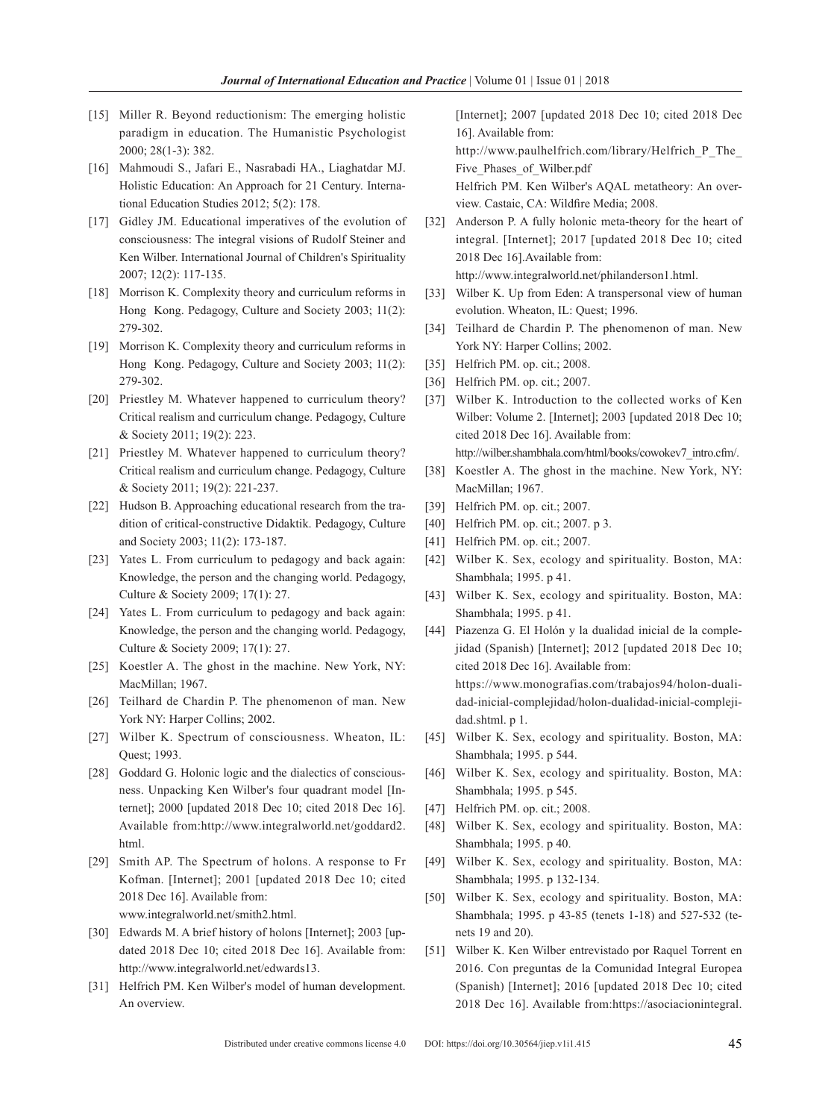- [15] Miller R. Beyond reductionism: The emerging holistic paradigm in education. The Humanistic Psychologist 2000; 28(1-3): 382.
- [16] Mahmoudi S., Jafari E., Nasrabadi HA., Liaghatdar MJ. Holistic Education: An Approach for 21 Century. International Education Studies 2012; 5(2): 178.
- [17] Gidley JM. Educational imperatives of the evolution of consciousness: The integral visions of Rudolf Steiner and Ken Wilber. International Journal of Children's Spirituality 2007; 12(2): 117-135.
- [18] Morrison K. Complexity theory and curriculum reforms in Hong Kong. Pedagogy, Culture and Society 2003; 11(2): 279-302.
- [19] Morrison K. Complexity theory and curriculum reforms in Hong Kong. Pedagogy, Culture and Society 2003; 11(2): 279-302.
- [20] Priestley M. Whatever happened to curriculum theory? Critical realism and curriculum change. Pedagogy, Culture & Society 2011; 19(2): 223.
- [21] Priestley M. Whatever happened to curriculum theory? Critical realism and curriculum change. Pedagogy, Culture & Society 2011; 19(2): 221-237.
- [22] Hudson B. Approaching educational research from the tradition of critical-constructive Didaktik. Pedagogy, Culture and Society 2003; 11(2): 173-187.
- [23] Yates L. From curriculum to pedagogy and back again: Knowledge, the person and the changing world. Pedagogy, Culture & Society 2009; 17(1): 27.
- [24] Yates L. From curriculum to pedagogy and back again: Knowledge, the person and the changing world. Pedagogy, Culture & Society 2009; 17(1): 27.
- [25] Koestler A. The ghost in the machine. New York, NY: MacMillan; 1967.
- [26] Teilhard de Chardin P. The phenomenon of man. New York NY: Harper Collins; 2002.
- [27] Wilber K. Spectrum of consciousness. Wheaton, IL: Quest; 1993.
- [28] Goddard G. Holonic logic and the dialectics of consciousness. Unpacking Ken Wilber's four quadrant model [Internet]; 2000 [updated 2018 Dec 10; cited 2018 Dec 16]. Available from:http://www.integralworld.net/goddard2. html.
- [29] Smith AP. The Spectrum of holons. A response to Fr Kofman. [Internet]; 2001 [updated 2018 Dec 10; cited 2018 Dec 16]. Available from: www.integralworld.net/smith2.html.

- [30] Edwards M. A brief history of holons [Internet]; 2003 [updated 2018 Dec 10; cited 2018 Dec 16]. Available from: http://www.integralworld.net/edwards13.
- [31] Helfrich PM. Ken Wilber's model of human development. An overview.

[Internet]; 2007 [updated 2018 Dec 10; cited 2018 Dec 16]. Available from:

http://www.paulhelfrich.com/library/Helfrich\_P\_The\_ Five\_Phases\_of\_Wilber.pdf

Helfrich PM. Ken Wilber's AQAL metatheory: An overview. Castaic, CA: Wildfire Media; 2008.

[32] Anderson P. A fully holonic meta-theory for the heart of integral. [Internet]; 2017 [updated 2018 Dec 10; cited 2018 Dec 16].Available from:

http://www.integralworld.net/philanderson1.html.

- [33] Wilber K. Up from Eden: A transpersonal view of human evolution. Wheaton, IL: Quest; 1996.
- [34] Teilhard de Chardin P. The phenomenon of man. New York NY: Harper Collins; 2002.
- [35] Helfrich PM. op. cit.; 2008.
- [36] Helfrich PM. op. cit.; 2007.
- [37] Wilber K. Introduction to the collected works of Ken Wilber: Volume 2. [Internet]; 2003 [updated 2018 Dec 10; cited 2018 Dec 16]. Available from: http://wilber.shambhala.com/html/books/cowokev7\_intro.cfm/.
- [38] Koestler A. The ghost in the machine. New York, NY: MacMillan; 1967.
- [39] Helfrich PM. op. cit.; 2007.
- [40] Helfrich PM. op. cit.; 2007. p 3.
- [41] Helfrich PM. op. cit.; 2007.
- [42] Wilber K. Sex, ecology and spirituality. Boston, MA: Shambhala; 1995. p 41.
- [43] Wilber K. Sex, ecology and spirituality. Boston, MA: Shambhala; 1995. p 41.
- [44] Piazenza G. El Holón y la dualidad inicial de la complejidad (Spanish) [Internet]; 2012 [updated 2018 Dec 10; cited 2018 Dec 16]. Available from: https://www.monografias.com/trabajos94/holon-dualidad-inicial-complejidad/holon-dualidad-inicial-complejidad.shtml. p 1.
- [45] Wilber K. Sex, ecology and spirituality. Boston, MA: Shambhala; 1995. p 544.
- [46] Wilber K. Sex, ecology and spirituality. Boston, MA: Shambhala; 1995. p 545.
- [47] Helfrich PM. op. cit.; 2008.
- [48] Wilber K. Sex, ecology and spirituality. Boston, MA: Shambhala; 1995. p 40.
- [49] Wilber K. Sex, ecology and spirituality. Boston, MA: Shambhala; 1995. p 132-134.
- [50] Wilber K. Sex, ecology and spirituality. Boston, MA: Shambhala; 1995. p 43-85 (tenets 1-18) and 527-532 (tenets 19 and 20).
- [51] Wilber K. Ken Wilber entrevistado por Raquel Torrent en 2016. Con preguntas de la Comunidad Integral Europea (Spanish) [Internet]; 2016 [updated 2018 Dec 10; cited 2018 Dec 16]. Available from:https://asociacionintegral.